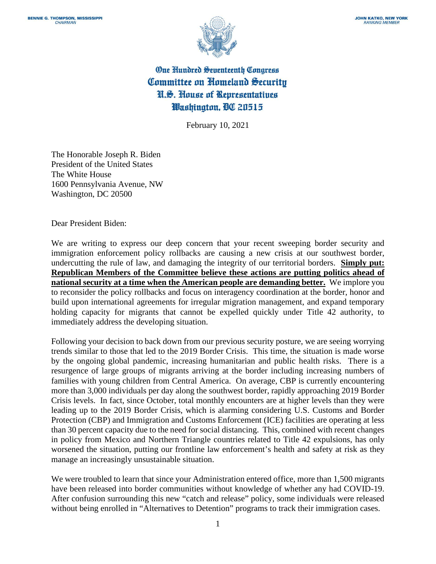

**One Hundred Seventeenth Congress** Committee on Homeland Security U.S. House of Representatives Washington, DC 20515

February 10, 2021

The Honorable Joseph R. Biden President of the United States The White House 1600 Pennsylvania Avenue, NW Washington, DC 20500

Dear President Biden:

We are writing to express our deep concern that your recent sweeping border security and immigration enforcement policy rollbacks are causing a new crisis at our southwest border, undercutting the rule of law, and damaging the integrity of our territorial borders. **Simply put: Republican Members of the Committee believe these actions are putting politics ahead of national security at a time when the American people are demanding better.** We implore you to reconsider the policy rollbacks and focus on interagency coordination at the border, honor and build upon international agreements for irregular migration management, and expand temporary holding capacity for migrants that cannot be expelled quickly under Title 42 authority, to immediately address the developing situation.

Following your decision to back down from our previous security posture, we are seeing worrying trends similar to those that led to the 2019 Border Crisis. This time, the situation is made worse by the ongoing global pandemic, increasing humanitarian and public health risks. There is a resurgence of large groups of migrants arriving at the border including increasing numbers of families with young children from Central America. On average, CBP is currently encountering more than 3,000 individuals per day along the southwest border, rapidly approaching 2019 Border Crisis levels. In fact, since October, total monthly encounters are at higher levels than they were leading up to the 2019 Border Crisis, which is alarming considering U.S. Customs and Border Protection (CBP) and Immigration and Customs Enforcement (ICE) facilities are operating at less than 30 percent capacity due to the need for social distancing. This, combined with recent changes in policy from Mexico and Northern Triangle countries related to Title 42 expulsions, has only worsened the situation, putting our frontline law enforcement's health and safety at risk as they manage an increasingly unsustainable situation.

We were troubled to learn that since your Administration entered office, more than 1,500 migrants have been released into border communities without knowledge of whether any had COVID-19. After confusion surrounding this new "catch and release" policy, some individuals were released without being enrolled in "Alternatives to Detention" programs to track their immigration cases.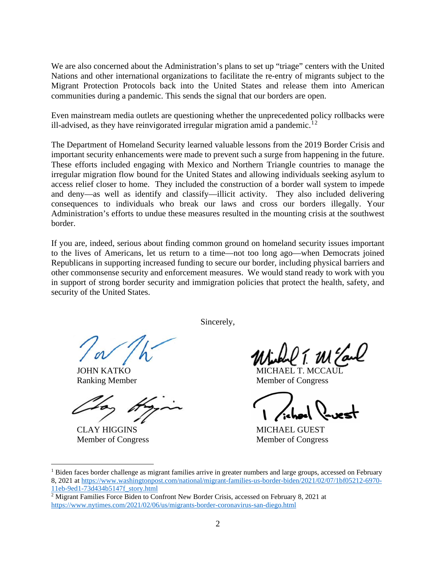We are also concerned about the Administration's plans to set up "triage" centers with the United Nations and other international organizations to facilitate the re-entry of migrants subject to the Migrant Protection Protocols back into the United States and release them into American communities during a pandemic. This sends the signal that our borders are open.

Even mainstream media outlets are questioning whether the unprecedented policy rollbacks were ill-advised, as they have reinvigorated irregular migration amid a pandemic.<sup>[1](#page-1-0)[2](#page-1-1)</sup>

The Department of Homeland Security learned valuable lessons from the 2019 Border Crisis and important security enhancements were made to prevent such a surge from happening in the future. These efforts included engaging with Mexico and Northern Triangle countries to manage the irregular migration flow bound for the United States and allowing individuals seeking asylum to access relief closer to home. They included the construction of a border wall system to impede and deny—as well as identify and classify—illicit activity. They also included delivering consequences to individuals who break our laws and cross our borders illegally. Your Administration's efforts to undue these measures resulted in the mounting crisis at the southwest border.

If you are, indeed, serious about finding common ground on homeland security issues important to the lives of Americans, let us return to a time—not too long ago—when Democrats joined Republicans in supporting increased funding to secure our border, including physical barriers and other commonsense security and enforcement measures. We would stand ready to work with you in support of strong border security and immigration policies that protect the health, safety, and security of the United States.

Sincerely,

่าน

JOHN KATKO MICHAEL T. MCCAUL Ranking Member Member Member of Congress

CLAY HIGGINS MICHAEL GUEST Member of Congress Member of Congress

<span id="page-1-0"></span><sup>&</sup>lt;sup>1</sup> Biden faces border challenge as migrant families arrive in greater numbers and large groups, accessed on February 8, 2021 at [https://www.washingtonpost.com/national/migrant-families-us-border-biden/2021/02/07/1bf05212-6970-](https://www.washingtonpost.com/national/migrant-families-us-border-biden/2021/02/07/1bf05212-6970-11eb-9ed1-73d434b5147f_story.html)<br>11eb-9ed1-73d434b5147f story.html

<span id="page-1-1"></span> $2$  Migrant Families Force Biden to Confront New Border Crisis, accessed on February 8, 2021 at <https://www.nytimes.com/2021/02/06/us/migrants-border-coronavirus-san-diego.html>